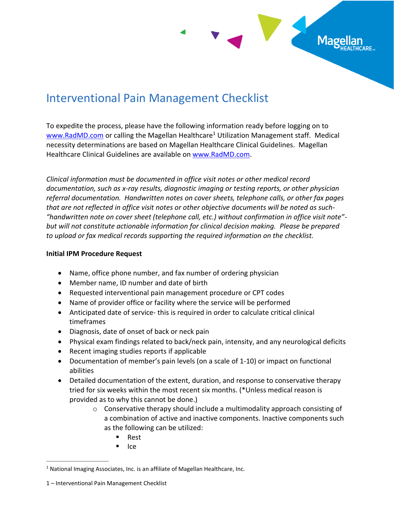

# Interventional Pain Management Checklist

To expedite the process, please have the following information ready before logging on to [www.RadMD.com](file:///C:/Users/kwapgar/AppData/Local/Microsoft/Windows/Temporary%20Internet%20Files/Content.Outlook/6O8VBYCY/www.RadMD.com) or calling the Magellan Healthcare<sup>1</sup> Utilization Management staff. Medical necessity determinations are based on Magellan Healthcare Clinical Guidelines. Magellan Healthcare Clinical Guidelines are available on [www.RadMD.com.](http://www.radmd.com/)

*Clinical information must be documented in office visit notes or other medical record documentation, such as x-ray results, diagnostic imaging or testing reports, or other physician referral documentation. Handwritten notes on cover sheets, telephone calls, or other fax pages that are not reflected in office visit notes or other objective documents will be noted as such- "handwritten note on cover sheet (telephone call, etc.) without confirmation in office visit note" but will not constitute actionable information for clinical decision making. Please be prepared to upload or fax medical records supporting the required information on the checklist.*

### **Initial IPM Procedure Request**

- Name, office phone number, and fax number of ordering physician
- Member name, ID number and date of birth
- Requested interventional pain management procedure or CPT codes
- Name of provider office or facility where the service will be performed
- Anticipated date of service- this is required in order to calculate critical clinical timeframes
- Diagnosis, date of onset of back or neck pain
- Physical exam findings related to back/neck pain, intensity, and any neurological deficits
- Recent imaging studies reports if applicable
- Documentation of member's pain levels (on a scale of 1-10) or impact on functional abilities
- Detailed documentation of the extent, duration, and response to conservative therapy tried for six weeks within the most recent six months. (\*Unless medical reason is provided as to why this cannot be done.)
	- $\circ$  Conservative therapy should include a multimodality approach consisting of a combination of active and inactive components. Inactive components such as the following can be utilized:
		- Rest
		- Ice

\_\_\_\_\_\_\_\_\_\_\_\_\_\_\_\_\_\_\_\_\_\_\_\_\_\_\_\_\_\_

 $1$  National Imaging Associates, Inc. is an affiliate of Magellan Healthcare, Inc.

<sup>1</sup> – Interventional Pain Management Checklist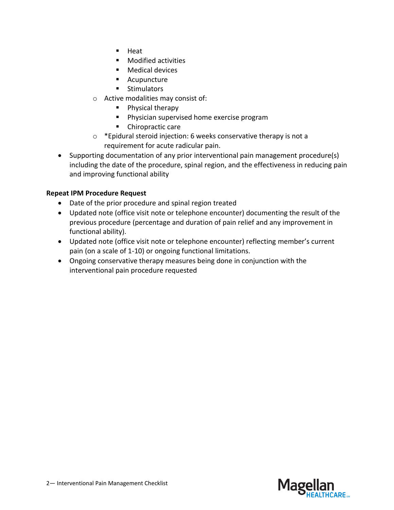- Heat
- Modified activities
- Medical devices
- Acupuncture
- Stimulators
- o Active modalities may consist of:
	- Physical therapy
	- Physician supervised home exercise program
	- Chiropractic care
- o \*Epidural steroid injection: 6 weeks conservative therapy is not a requirement for acute radicular pain.
- Supporting documentation of any prior interventional pain management procedure(s) including the date of the procedure, spinal region, and the effectiveness in reducing pain and improving functional ability

## **Repeat IPM Procedure Request**

- Date of the prior procedure and spinal region treated
- Updated note (office visit note or telephone encounter) documenting the result of the previous procedure (percentage and duration of pain relief and any improvement in functional ability).
- Updated note (office visit note or telephone encounter) reflecting member's current pain (on a scale of 1-10) or ongoing functional limitations.
- Ongoing conservative therapy measures being done in conjunction with the interventional pain procedure requested